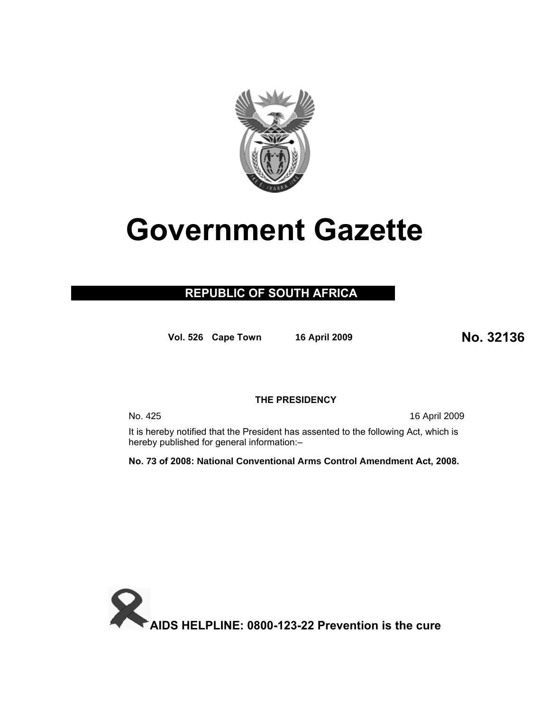

# **Government Gazette**

# **REPUBLIC OF SOUTH AFRICA**

**Vol. 526 Cape Town 16 April 200<sup>9</sup> No. 32136**

# **THE PRESIDENCY**

No. 425 16 April 2009

It is hereby notified that the President has assented to the following Act, which is hereby published for general information:–

**No. 73 of 2008: National Conventional Arms Control Amendment Act, 2008.** 

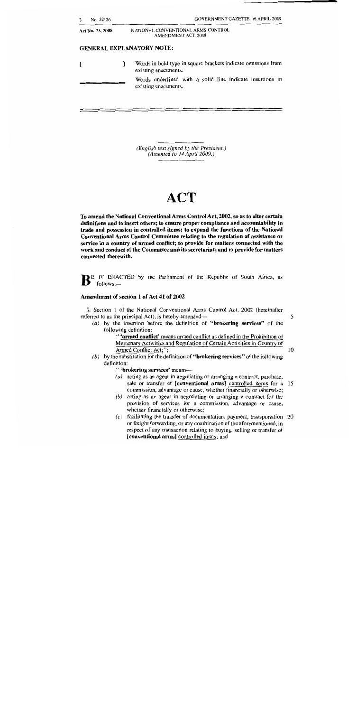| No. 32126        |   | <b>GOVERNMENT GAZETTE, 16 APRIL 2009</b>                                              |  |
|------------------|---|---------------------------------------------------------------------------------------|--|
| Act No. 73, 2008 |   | NATIONAL CONVENTIONAL ARMS CONTROL<br>AMENDMENT ACT, 2008                             |  |
|                  |   | <b>GENERAL EXPLANATORY NOTE:</b>                                                      |  |
|                  | 1 | Words in bold type in square brackets indicate omissions from<br>existing enactments. |  |
|                  |   | Words underlined with a solid line indicate insertions in<br>existing enactments.     |  |
|                  |   |                                                                                       |  |
|                  |   |                                                                                       |  |

(English text signed by the President.) (Assented to 14 April 2009.)

# **ACT**

To amend the National Conventional Arms Control Act, 2002, so as to alter certain definitions and to insert others; to ensure proper compliance and accountability in trade and possession in controlled items; to expand the functions of the National Conventional Arms Control Committee relating to the regulation of assistance or service in a country of armed conflict; to provide for matters connected with the work and conduct of the Committee and its secretariat; and to provide for matters connected therewith.

BE IT ENACTED by the Parliament of the Republic of South Africa, as follows:-

#### Amendment of section 1 of Act 41 of 2002

1. Section 1 of the National Conventional Arms Control Act, 2002 (hereinafter referred to as the principal Act), is hereby amended—

5

 $(a)$  by the insertion before the definition of "brokering services" of the following definition:

" 'armed conflict' means armed conflict as defined in the Prohibition of Mercenary Activities and Regulation of Certain Activities in Country of Armed Conflict Act;";

- $10$
- (b) by the substitution for the definition of "brokering services" of the following definition:

" 'brokering services' means-

- $(a)$  acting as an agent in negotiating or arranging a contract, purchase, sale or transfer of [conventional arms] controlled items for a 15 commission, advantage or cause, whether financially or otherwise;
- $(b)$  acting as an agent in negotiating or arranging a contract for the provision of services for a commission, advantage or cause, whether financially or otherwise;
- (c) facilitating the transfer of documentation, payment, transportation 20 or freight forwarding, or any combination of the aforementioned, in respect of any transaction relating to buying, selling or transfer of [conventional arms] controlled items; and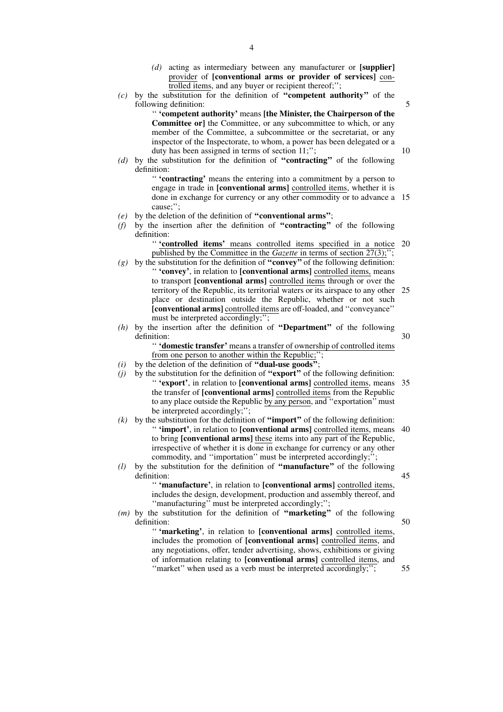- *(d)* acting as intermediary between any manufacturer or **[supplier]** provider of **[conventional arms or provider of services]** controlled items, and any buyer or recipient thereof;'';
- *(c)* by the substitution for the definition of **''competent authority''** of the following definition:

'' **'competent authority'** means **[the Minister, the Chairperson of the Committee or**] the Committee, or any subcommittee to which, or any member of the Committee, a subcommittee or the secretariat, or any inspector of the Inspectorate, to whom, a power has been delegated or a duty has been assigned in terms of section 11;";

*(d)* by the substitution for the definition of **''contracting''** of the following definition:

> '' **'contracting'** means the entering into a commitment by a person to engage in trade in **[conventional arms]** controlled items, whether it is done in exchange for currency or any other commodity or to advance a 15 cause;'';

- *(e)* by the deletion of the definition of **''conventional arms''**;
- *(f)* by the insertion after the definition of **''contracting''** of the following definition:

'' **'controlled items'** means controlled items specified in a notice 20 published by the Committee in the *Gazette* in terms of section 27(3);'';

- *(g)* by the substitution for the definition of **''convey''** of the following definition: '' **'convey'**, in relation to **[conventional arms]** controlled items, means to transport **[conventional arms]** controlled items through or over the territory of the Republic, its territorial waters or its airspace to any other 25 place or destination outside the Republic, whether or not such **[conventional arms]** controlled items are off-loaded, and ''conveyance'' must be interpreted accordingly;";
- *(h)* by the insertion after the definition of **''Department''** of the following definition:

30

5

10

'' **'domestic transfer'** means a transfer of ownership of controlled items from one person to another within the Republic;

- *(i)* by the deletion of the definition of **''dual-use goods''**;
- *(j)* by the substitution for the definition of **''export''** of the following definition: '' **'export'**, in relation to **[conventional arms]** controlled items, means 35 the transfer of **[conventional arms]** controlled items from the Republic to any place outside the Republic by any person, and ''exportation'' must be interpreted accordingly;'';
- *(k)* by the substitution for the definition of **''import''** of the following definition: '' **'import'**, in relation to **[conventional arms]** controlled items, means 40 to bring **[conventional arms]** these items into any part of the Republic, irrespective of whether it is done in exchange for currency or any other commodity, and ''importation'' must be interpreted accordingly;'';
- *(l)* by the substitution for the definition of **''manufacture''** of the following definition: 45

'' **'manufacture'**, in relation to **[conventional arms]** controlled items, includes the design, development, production and assembly thereof, and "manufacturing" must be interpreted accordingly;";

*(m)* by the substitution for the definition of **''marketing''** of the following definition:

'' **'marketing'**, in relation to **[conventional arms]** controlled items, includes the promotion of **[conventional arms]** controlled items, and any negotiations, offer, tender advertising, shows, exhibitions or giving of information relating to **[conventional arms]** controlled items, and "market" when used as a verb must be interpreted accordingly;";

55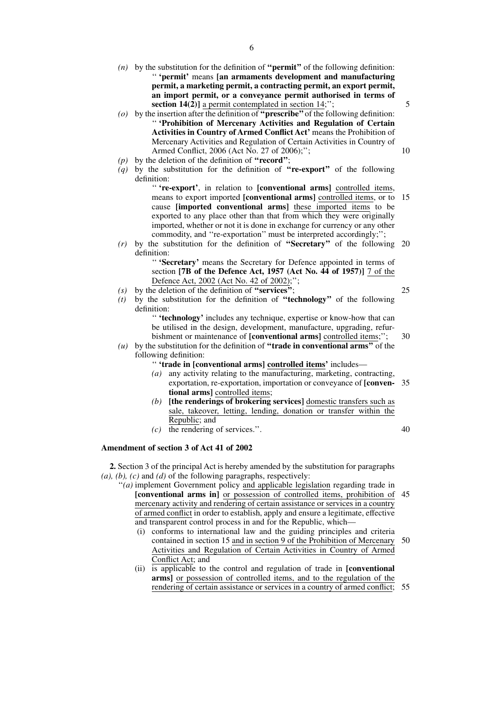- *(n)* by the substitution for the definition of **''permit''** of the following definition: '' **'permit'** means **[an armaments development and manufacturing permit, a marketing permit, a contracting permit, an export permit, an import permit, or a conveyance permit authorised in terms of section 14(2)**] a permit contemplated in section 14;";
- *(o)* by the insertion after the definition of **''prescribe''** of the following definition: '' **'Prohibition of Mercenary Activities and Regulation of Certain Activities in Country of Armed Conflict Act'** means the Prohibition of Mercenary Activities and Regulation of Certain Activities in Country of Armed Conflict, 2006 (Act No. 27 of 2006);'';
- *(p)* by the deletion of the definition of **''record''**;
- *(q)* by the substitution for the definition of **''re-export''** of the following definition:

'' **'re-export'**, in relation to **[conventional arms]** controlled items, means to export imported **[conventional arms]** controlled items, or to cause **[imported conventional arms]** these imported items to be exported to any place other than that from which they were originally imported, whether or not it is done in exchange for currency or any other commodity, and ''re-exportation'' must be interpreted accordingly;''; 15

*(r)* by the substitution for the definition of **''Secretary''** of the following 20 definition:

'' **'Secretary'** means the Secretary for Defence appointed in terms of section **[7B of the Defence Act, 1957 (Act No. 44 of 1957)]** 7 of the Defence Act, 2002 (Act No. 42 of 2002);'';

- *(s)* by the deletion of the definition of **''services''**;
- *(t)* by the substitution for the definition of **''technology''** of the following definition:

'' **'technology'** includes any technique, expertise or know-how that can be utilised in the design, development, manufacture, upgrading, refurbishment or maintenance of **[conventional arms]** controlled items;'';

- *(u)* by the substitution for the definition of **''trade in conventional arms''** of the following definition:
	- '' **'trade in [conventional arms] controlled items'** includes—
	- *(a)* any activity relating to the manufacturing, marketing, contracting, exportation, re-exportation, importation or conveyance of **[conven-**35 **tional arms]** controlled items;
	- *(b)* **[the renderings of brokering services]** domestic transfers such as sale, takeover, letting, lending, donation or transfer within the Republic; and
	- *(c)* the rendering of services.''.

40

5

10

25

30

#### **Amendment of section 3 of Act 41 of 2002**

**2.** Section 3 of the principal Act is hereby amended by the substitution for paragraphs *(a), (b), (c)* and *(d)* of the following paragraphs, respectively:

''*(a)* implement Government policy and applicable legislation regarding trade in **[conventional arms in]** or possession of controlled items, prohibition of 45 mercenary activity and rendering of certain assistance or services in a country of armed conflict in order to establish, apply and ensure a legitimate, effective and transparent control process in and for the Republic, which—

- (i) conforms to international law and the guiding principles and criteria contained in section 15 and in section 9 of the Prohibition of Mercenary Activities and Regulation of Certain Activities in Country of Armed Conflict Act; and 50
- (ii) is applicable to the control and regulation of trade in **[conventional arms]** or possession of controlled items, and to the regulation of the rendering of certain assistance or services in a country of armed conflict; 55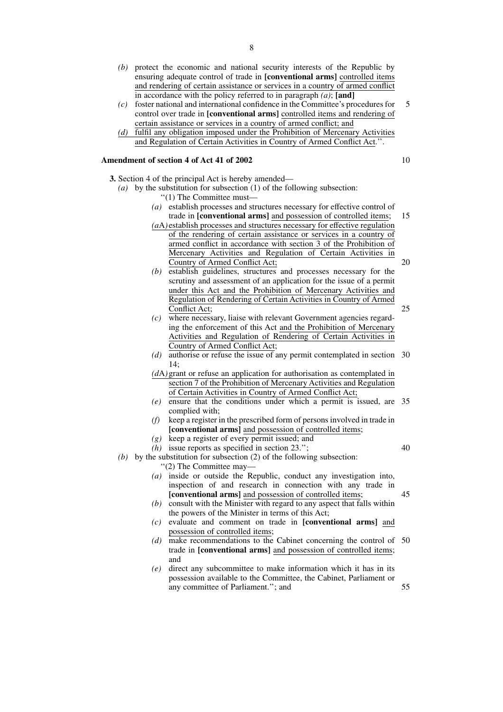- *(b)* protect the economic and national security interests of the Republic by ensuring adequate control of trade in **[conventional arms]** controlled items and rendering of certain assistance or services in a country of armed conflict in accordance with the policy referred to in paragraph *(a)*; **[and]**
- *(c)* foster national and international confidence in the Committee's procedures for control over trade in **[conventional arms]** controlled items and rendering of certain assistance or services in a country of armed conflict; and 5
- *(d)* fulfil any obligation imposed under the Prohibition of Mercenary Activities and Regulation of Certain Activities in Country of Armed Conflict Act.''.

#### **Amendment of section 4 of Act 41 of 2002**

**3.** Section 4 of the principal Act is hereby amended—

- *(a)* by the substitution for subsection (1) of the following subsection: ''(1) The Committee must—
	- *(a)* establish processes and structures necessary for effective control of trade in **[conventional arms]** and possession of controlled items; 15
	- *(a*A*)* establish processes and structures necessary for effective regulation of the rendering of certain assistance or services in a country of armed conflict in accordance with section 3 of the Prohibition of Mercenary Activities and Regulation of Certain Activities in Country of Armed Conflict Act; 20
	- *(b)* establish guidelines, structures and processes necessary for the scrutiny and assessment of an application for the issue of a permit under this Act and the Prohibition of Mercenary Activities and Regulation of Rendering of Certain Activities in Country of Armed Conflict Act;
	- *(c)* where necessary, liaise with relevant Government agencies regarding the enforcement of this Act and the Prohibition of Mercenary Activities and Regulation of Rendering of Certain Activities in Country of Armed Conflict Act;
	- *(d)* authorise or refuse the issue of any permit contemplated in section 30  $14:$
	- *(d*A*)*grant or refuse an application for authorisation as contemplated in section 7 of the Prohibition of Mercenary Activities and Regulation of Certain Activities in Country of Armed Conflict Act;
	- *(e)* ensure that the conditions under which a permit is issued, are 35 complied with;
	- *(f)* keep a register in the prescribed form of persons involved in trade in **[conventional arms]** and possession of controlled items;
	- *(g)* keep a register of every permit issued; and
	- *(h)* issue reports as specified in section 23.'';

40

45

25

- *(b)* by the substitution for subsection (2) of the following subsection: ''(2) The Committee may—
	- *(a)* inside or outside the Republic, conduct any investigation into, inspection of and research in connection with any trade in **[conventional arms]** and possession of controlled items;
	- *(b)* consult with the Minister with regard to any aspect that falls within the powers of the Minister in terms of this Act;
	- *(c)* evaluate and comment on trade in **[conventional arms]** and possession of controlled items;
	- *(d)* make recommendations to the Cabinet concerning the control of 50 trade in **[conventional arms]** and possession of controlled items; and
	- *(e)* direct any subcommittee to make information which it has in its possession available to the Committee, the Cabinet, Parliament or any committee of Parliament.''; and 55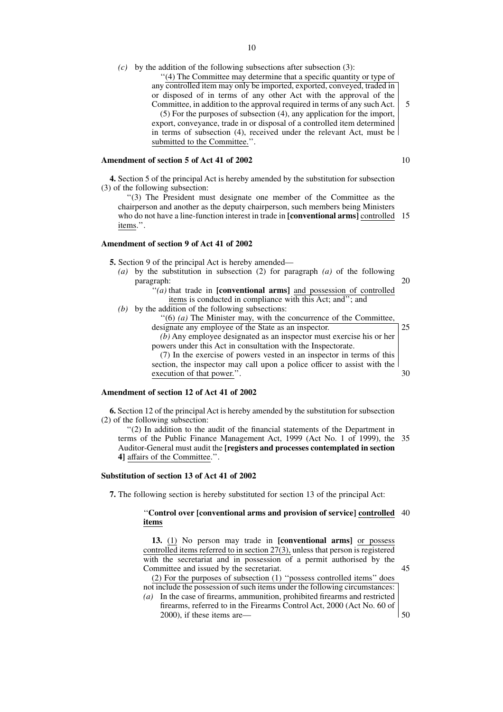- $(c)$  by the addition of the following subsections after subsection (3):
	- ''(4) The Committee may determine that a specific quantity or type of any controlled item may only be imported, exported, conveyed, traded in or disposed of in terms of any other Act with the approval of the Committee, in addition to the approval required in terms of any such Act. (5) For the purposes of subsection (4), any application for the import, export, conveyance, trade in or disposal of a controlled item determined in terms of subsection (4), received under the relevant Act, must be submitted to the Committee.''.

#### **Amendment of section 5 of Act 41 of 2002**

**4.** Section 5 of the principal Act is hereby amended by the substitution for subsection (3) of the following subsection:

''(3) The President must designate one member of the Committee as the chairperson and another as the deputy chairperson, such members being Ministers who do not have a line-function interest in trade in [conventional arms] controlled 15 items.''.

#### **Amendment of section 9 of Act 41 of 2002**

**5.** Section 9 of the principal Act is hereby amended—

*(a)* by the substitution in subsection (2) for paragraph *(a)* of the following paragraph:

|  | ł<br>M.<br>٧ |
|--|--------------|

30

| "( <i>a</i> ) that trade in [ <b>conventional arms</b> ] and possession of controlled |
|---------------------------------------------------------------------------------------|
| items is conducted in compliance with this Act; and"; and                             |
| $(b)$ by the addition of the following subsections:                                   |

''(6) *(a)* The Minister may, with the concurrence of the Committee, designate any employee of the State as an inspector. *(b)* Any employee designated as an inspector must exercise his or her 25

powers under this Act in consultation with the Inspectorate. (7) In the exercise of powers vested in an inspector in terms of this section, the inspector may call upon a police officer to assist with the execution of that power.''.

#### **Amendment of section 12 of Act 41 of 2002**

**6.** Section 12 of the principal Act is hereby amended by the substitution for subsection (2) of the following subsection:

''(2) In addition to the audit of the financial statements of the Department in terms of the Public Finance Management Act, 1999 (Act No. 1 of 1999), the 35 Auditor-General must audit the **[registers and processes contemplated in section 4]** affairs of the Committee.''.

#### **Substitution of section 13 of Act 41 of 2002**

**7.** The following section is hereby substituted for section 13 of the principal Act:

#### ''**Control over [conventional arms and provision of service] controlled** 40 **items**

**13.** (1) No person may trade in **[conventional arms]** or possess controlled items referred to in section 27(3), unless that person is registered with the secretariat and in possession of a permit authorised by the Committee and issued by the secretariat.

45

(2) For the purposes of subsection (1) ''possess controlled items'' does not include the possession of such items under the following circumstances:

*(a)* In the case of firearms, ammunition, prohibited firearms and restricted firearms, referred to in the Firearms Control Act, 2000 (Act No. 60 of 2000), if these items are— 50

10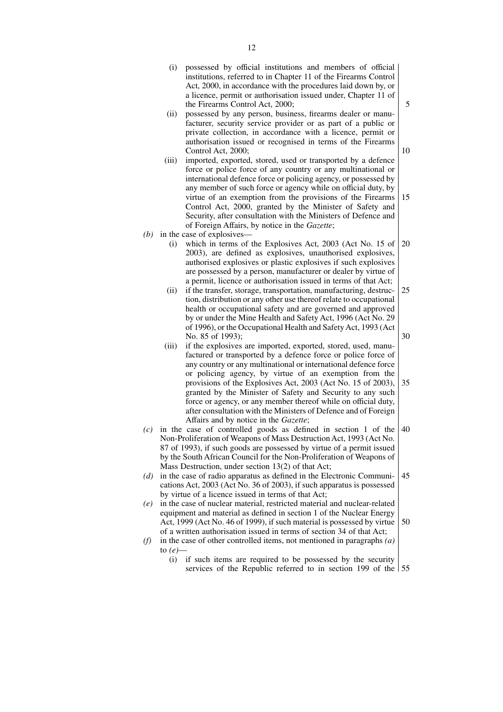- (i) possessed by official institutions and members of official institutions, referred to in Chapter 11 of the Firearms Control Act, 2000, in accordance with the procedures laid down by, or a licence, permit or authorisation issued under, Chapter 11 of the Firearms Control Act, 2000;
- (ii) possessed by any person, business, firearms dealer or manufacturer, security service provider or as part of a public or private collection, in accordance with a licence, permit or authorisation issued or recognised in terms of the Firearms Control Act, 2000;
- (iii) imported, exported, stored, used or transported by a defence force or police force of any country or any multinational or international defence force or policing agency, or possessed by any member of such force or agency while on official duty, by virtue of an exemption from the provisions of the Firearms Control Act, 2000, granted by the Minister of Safety and Security, after consultation with the Ministers of Defence and of Foreign Affairs, by notice in the *Gazette*; 15
- *(b)* in the case of explosives—
	- (i) which in terms of the Explosives Act, 2003 (Act No. 15 of 2003), are defined as explosives, unauthorised explosives, authorised explosives or plastic explosives if such explosives are possessed by a person, manufacturer or dealer by virtue of a permit, licence or authorisation issued in terms of that Act; 20
	- (ii) if the transfer, storage, transportation, manufacturing, destruction, distribution or any other use thereof relate to occupational health or occupational safety and are governed and approved by or under the Mine Health and Safety Act, 1996 (Act No. 29 of 1996), or the Occupational Health and Safety Act, 1993 (Act No. 85 of 1993); 25 30
	- (iii) if the explosives are imported, exported, stored, used, manufactured or transported by a defence force or police force of any country or any multinational or international defence force or policing agency, by virtue of an exemption from the provisions of the Explosives Act, 2003 (Act No. 15 of 2003), granted by the Minister of Safety and Security to any such force or agency, or any member thereof while on official duty, after consultation with the Ministers of Defence and of Foreign Affairs and by notice in the *Gazette*; 35
- *(c)* in the case of controlled goods as defined in section 1 of the Non-Proliferation of Weapons of Mass Destruction Act, 1993 (Act No. 87 of 1993), if such goods are possessed by virtue of a permit issued by the South African Council for the Non-Proliferation of Weapons of Mass Destruction, under section 13(2) of that Act; 40
- *(d)* in the case of radio apparatus as defined in the Electronic Communications Act, 2003 (Act No. 36 of 2003), if such apparatus is possessed by virtue of a licence issued in terms of that Act; 45
- *(e)* in the case of nuclear material, restricted material and nuclear-related equipment and material as defined in section 1 of the Nuclear Energy Act, 1999 (Act No. 46 of 1999), if such material is possessed by virtue of a written authorisation issued in terms of section 34 of that Act; 50
- *(f)* in the case of other controlled items, not mentioned in paragraphs *(a)* to *(e)*—
	- (i) if such items are required to be possessed by the security services of the Republic referred to in section 199 of the 55

5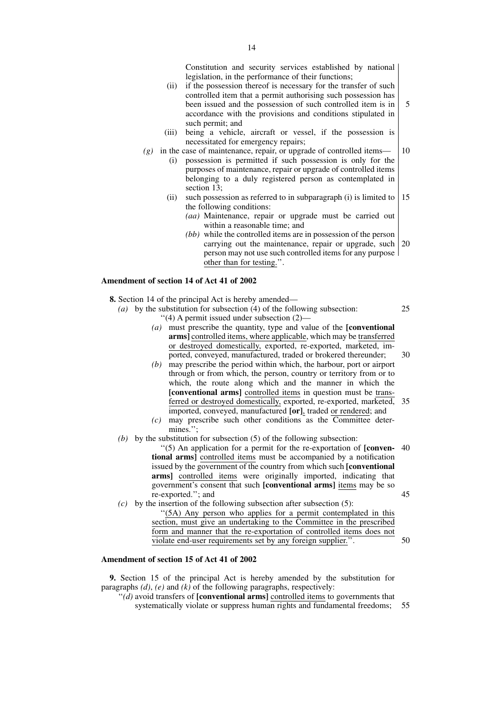Constitution and security services established by national legislation, in the performance of their functions;

- (ii) if the possession thereof is necessary for the transfer of such controlled item that a permit authorising such possession has been issued and the possession of such controlled item is in accordance with the provisions and conditions stipulated in such permit; and 5
- (iii) being a vehicle, aircraft or vessel, if the possession is necessitated for emergency repairs;
- *(g)* in the case of maintenance, repair, or upgrade of controlled items—
	- (i) possession is permitted if such possession is only for the purposes of maintenance, repair or upgrade of controlled items belonging to a duly registered person as contemplated in section 13;
	- (ii) such possession as referred to in subparagraph (i) is limited to the following conditions: 15
		- *(aa)* Maintenance, repair or upgrade must be carried out within a reasonable time; and
		- *(bb)* while the controlled items are in possession of the person carrying out the maintenance, repair or upgrade, such 20 person may not use such controlled items for any purpose other than for testing.''.

#### **Amendment of section 14 of Act 41 of 2002**

- **8.** Section 14 of the principal Act is hereby amended—
	- *(a)* by the substitution for subsection (4) of the following subsection: ''(4) A permit issued under subsection (2)— 25
		- *(a)* must prescribe the quantity, type and value of the **[conventional arms]** controlled items, where applicable, which may be transferred or destroyed domestically, exported, re-exported, marketed, imported, conveyed, manufactured, traded or brokered thereunder; 30
		- *(b)* may prescribe the period within which, the harbour, port or airport through or from which, the person, country or territory from or to which, the route along which and the manner in which the **[conventional arms]** controlled items in question must be transferred or destroyed domestically, exported, re-exported, marketed, 35 imported, conveyed, manufactured **[or]**, traded or rendered; and
		- $(c)$  may prescribe such other conditions as the Committee determines.'';
	- *(b)* by the substitution for subsection (5) of the following subsection:

''(5) An application for a permit for the re-exportation of **[conven-**40 **tional arms]** controlled items must be accompanied by a notification issued by the government of the country from which such **[conventional arms]** controlled items were originally imported, indicating that government's consent that such **[conventional arms]** items may be so re-exported.''; and 45

- *(c)* by the insertion of the following subsection after subsection (5):
	- ''(5A) Any person who applies for a permit contemplated in this section, must give an undertaking to the Committee in the prescribed form and manner that the re-exportation of controlled items does not violate end-user requirements set by any foreign supplier.''.

#### **Amendment of section 15 of Act 41 of 2002**

**9.** Section 15 of the principal Act is hereby amended by the substitution for paragraphs *(d)*, *(e)* and *(k)* of the following paragraphs, respectively:

''*(d)* avoid transfers of **[conventional arms]** controlled items to governments that systematically violate or suppress human rights and fundamental freedoms; 55

50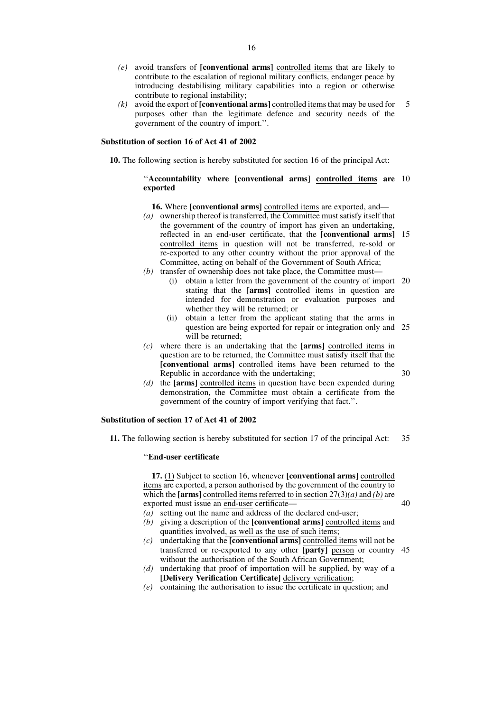- *(e)* avoid transfers of **[conventional arms]** controlled items that are likely to contribute to the escalation of regional military conflicts, endanger peace by introducing destabilising military capabilities into a region or otherwise contribute to regional instability;
- *(k)* avoid the export of **[conventional arms]** controlled items that may be used for purposes other than the legitimate defence and security needs of the government of the country of import.''. 5

#### **Substitution of section 16 of Act 41 of 2002**

**10.** The following section is hereby substituted for section 16 of the principal Act:

#### ''**Accountability where [conventional arms] controlled items are** 10 **exported**

- **16.** Where **[conventional arms]** controlled items are exported, and— *(a)* ownership thereof is transferred, the Committee must satisfy itself that the government of the country of import has given an undertaking, reflected in an end-user certificate, that the **[conventional arms]** 15 controlled items in question will not be transferred, re-sold or re-exported to any other country without the prior approval of the Committee, acting on behalf of the Government of South Africa;
- *(b)* transfer of ownership does not take place, the Committee must—
	- (i) obtain a letter from the government of the country of import 20 stating that the **[arms]** controlled items in question are intended for demonstration or evaluation purposes and whether they will be returned; or
	- (ii) obtain a letter from the applicant stating that the arms in question are being exported for repair or integration only and 25 will be returned;
- *(c)* where there is an undertaking that the **[arms]** controlled items in question are to be returned, the Committee must satisfy itself that the **[conventional arms]** controlled items have been returned to the Republic in accordance with the undertaking;
- *(d)* the **[arms]** controlled items in question have been expended during demonstration, the Committee must obtain a certificate from the government of the country of import verifying that fact.''.

#### **Substitution of section 17 of Act 41 of 2002**

**11.** The following section is hereby substituted for section 17 of the principal Act: 35

#### ''**End-user certificate**

**17.** (1) Subject to section 16, whenever **[conventional arms]** controlled items are exported, a person authorised by the government of the country to which the **[arms]** controlled items referred to in section  $27(3)(a)$  and *(b)* are exported must issue an end-user certificate— *(a)* setting out the name and address of the declared end-user;

40

- *(b)* giving a description of the **[conventional arms]** controlled items and quantities involved, as well as the use of such items;
- *(c)* undertaking that the **[conventional arms]** controlled items will not be transferred or re-exported to any other **[party]** person or country 45without the authorisation of the South African Government;
- *(d)* undertaking that proof of importation will be supplied, by way of a **[Delivery Verification Certificate]** delivery verification;
- $(e)$  containing the authorisation to issue the certificate in question; and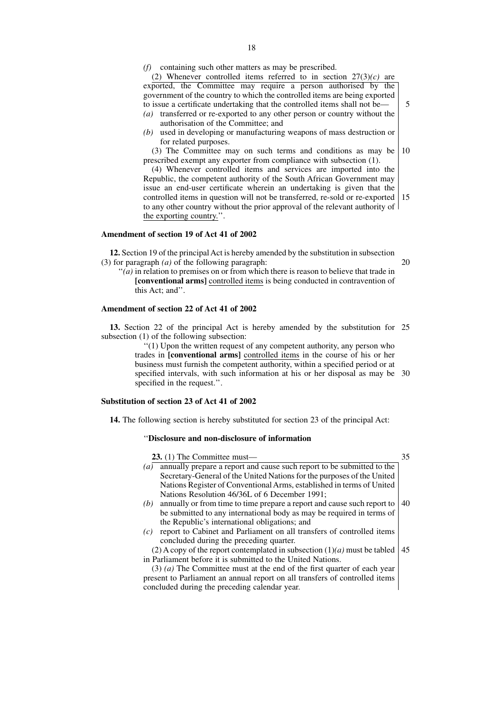*(f)* containing such other matters as may be prescribed.

(2) Whenever controlled items referred to in section  $27(3)(c)$  are exported, the Committee may require a person authorised by the government of the country to which the controlled items are being exported to issue a certificate undertaking that the controlled items shall not be— *(a)* transferred or re-exported to any other person or country without the

5

- authorisation of the Committee; and
- *(b)* used in developing or manufacturing weapons of mass destruction or for related purposes.

(3) The Committee may on such terms and conditions as may be prescribed exempt any exporter from compliance with subsection (1). 10

(4) Whenever controlled items and services are imported into the Republic, the competent authority of the South African Government may issue an end-user certificate wherein an undertaking is given that the controlled items in question will not be transferred, re-sold or re-exported to any other country without the prior approval of the relevant authority of the exporting country.''. 15

#### **Amendment of section 19 of Act 41 of 2002**

**12.** Section 19 of the principal Act is hereby amended by the substitution in subsection (3) for paragraph *(a)* of the following paragraph: 20

''*(a)* in relation to premises on or from which there is reason to believe that trade in **[conventional arms]** controlled items is being conducted in contravention of this Act; and''.

#### **Amendment of section 22 of Act 41 of 2002**

**13.** Section 22 of the principal Act is hereby amended by the substitution for 25 subsection (1) of the following subsection:

> ''(1) Upon the written request of any competent authority, any person who trades in **[conventional arms]** controlled items in the course of his or her business must furnish the competent authority, within a specified period or at specified intervals, with such information at his or her disposal as may be 30 specified in the request.''.

#### **Substitution of section 23 of Act 41 of 2002**

**14.** The following section is hereby substituted for section 23 of the principal Act:

#### ''**Disclosure and non-disclosure of information**

concluded during the preceding calendar year.

| $23. (1)$ The Committee must—                                                               |    |
|---------------------------------------------------------------------------------------------|----|
| annually prepare a report and cause such report to be submitted to the<br>$\left( a\right)$ |    |
| Secretary-General of the United Nations for the purposes of the United                      |    |
| Nations Register of Conventional Arms, established in terms of United                       |    |
| Nations Resolution 46/36L of 6 December 1991;                                               |    |
| annually or from time to time prepare a report and cause such report to<br>(b)              | 40 |
| be submitted to any international body as may be required in terms of                       |    |
| the Republic's international obligations; and                                               |    |
| report to Cabinet and Parliament on all transfers of controlled items<br>(c)                |    |
| concluded during the preceding quarter.                                                     |    |
| (2) A copy of the report contemplated in subsection $(1)(a)$ must be tabled                 | 45 |
| in Parliament before it is submitted to the United Nations.                                 |    |
| $(3)$ (a) The Committee must at the end of the first quarter of each year                   |    |
| present to Parliament an annual report on all transfers of controlled items                 |    |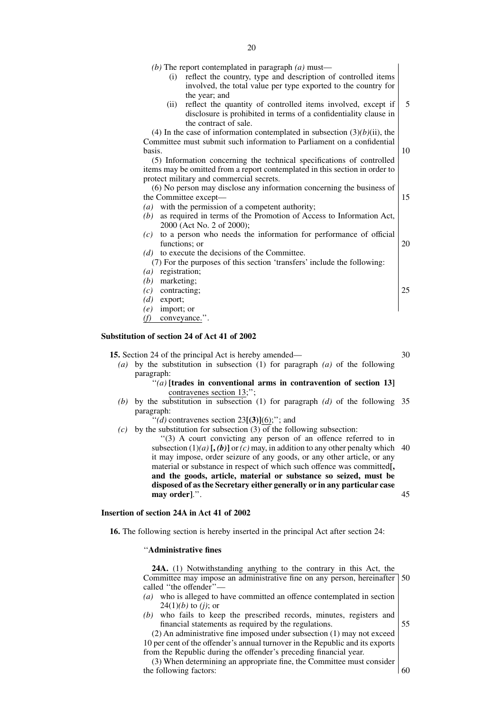*(b)* The report contemplated in paragraph *(a)* must—

- (i) reflect the country, type and description of controlled items involved, the total value per type exported to the country for the year; and
- (ii) reflect the quantity of controlled items involved, except if disclosure is prohibited in terms of a confidentiality clause in the contract of sale. 5

(4) In the case of information contemplated in subsection  $(3)(b)(ii)$ , the Committee must submit such information to Parliament on a confidential basis.

(5) Information concerning the technical specifications of controlled items may be omitted from a report contemplated in this section in order to protect military and commercial secrets.

(6) No person may disclose any information concerning the business of the Committee except—

- *(a)* with the permission of a competent authority;
- *(b)* as required in terms of the Promotion of Access to Information Act, 2000 (Act No. 2 of 2000);
- *(c)* to a person who needs the information for performance of official functions; or 20
- *(d)* to execute the decisions of the Committee.
	- (7) For the purposes of this section 'transfers' include the following:
- *(a)* registration;
- *(b)* marketing;
- *(c)* contracting;
- *(d)* export;
- *(e)* import; or
- *(f)* conveyance.''.

#### **Substitution of section 24 of Act 41 of 2002**

**15.** Section 24 of the principal Act is hereby amended—

*(a)* by the substitution in subsection (1) for paragraph *(a)* of the following paragraph:

#### $f'(a)$  [trades in conventional arms in contravention of section 13] contravenes section 13;'';

*(b)* by the substitution in subsection (1) for paragraph *(d)* of the following 35 paragraph:

 $''$ (*d*) contravenes section 23 $[(3)](6)$ ;"; and

*(c)* by the substitution for subsection (3) of the following subsection:

''(3) A court convicting any person of an offence referred to in subsection  $(1)(a)$  [,  $(b)$ ] or  $(c)$  may, in addition to any other penalty which 40 it may impose, order seizure of any goods, or any other article, or any material or substance in respect of which such offence was committed**[, and the goods, article, material or substance so seized, must be disposed of as the Secretary either generally or in any particular case may order]**.''. 45

#### **Insertion of section 24A in Act 41 of 2002**

**16.** The following section is hereby inserted in the principal Act after section 24:

#### ''**Administrative fines**

**24A.** (1) Notwithstanding anything to the contrary in this Act, the Committee may impose an administrative fine on any person, hereinafter called "the offender"-50

- *(a)* who is alleged to have committed an offence contemplated in section 24(1)*(b)* to *(j)*; or
- *(b)* who fails to keep the prescribed records, minutes, registers and financial statements as required by the regulations. 55

(2) An administrative fine imposed under subsection (1) may not exceed 10 per cent of the offender's annual turnover in the Republic and its exports from the Republic during the offender's preceding financial year.

(3) When determining an appropriate fine, the Committee must consider the following factors:

60

25

30

10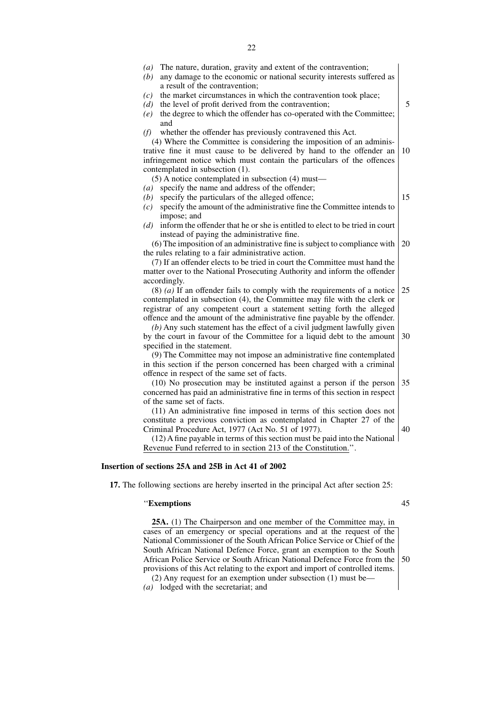| The nature, duration, gravity and extent of the contravention;<br>(a)<br>any damage to the economic or national security interests suffered as<br>(b)                                                                                                                                                                                                                                                                                                                                            |    |
|--------------------------------------------------------------------------------------------------------------------------------------------------------------------------------------------------------------------------------------------------------------------------------------------------------------------------------------------------------------------------------------------------------------------------------------------------------------------------------------------------|----|
| a result of the contravention;<br>the market circumstances in which the contravention took place;<br>(c)<br>the level of profit derived from the contravention;<br>(d)<br>the degree to which the offender has co-operated with the Committee;<br>(e)                                                                                                                                                                                                                                            | 5  |
| and<br>whether the offender has previously contravened this Act.<br>(f)<br>(4) Where the Committee is considering the imposition of an adminis-<br>trative fine it must cause to be delivered by hand to the offender an<br>infringement notice which must contain the particulars of the offences<br>contemplated in subsection (1).                                                                                                                                                            | 10 |
| $(5)$ A notice contemplated in subsection $(4)$ must—<br>specify the name and address of the offender;<br>(a)<br>specify the particulars of the alleged offence;<br>(b)<br>specify the amount of the administrative fine the Committee intends to<br>(c)<br>impose; and                                                                                                                                                                                                                          | 15 |
| inform the offender that he or she is entitled to elect to be tried in court<br>(d)<br>instead of paying the administrative fine.<br>(6) The imposition of an administrative fine is subject to compliance with<br>the rules relating to a fair administrative action.<br>(7) If an offender elects to be tried in court the Committee must hand the                                                                                                                                             | 20 |
| matter over to the National Prosecuting Authority and inform the offender<br>accordingly.<br>$(8)$ (a) If an offender fails to comply with the requirements of a notice                                                                                                                                                                                                                                                                                                                          | 25 |
| contemplated in subsection (4), the Committee may file with the clerk or<br>registrar of any competent court a statement setting forth the alleged<br>offence and the amount of the administrative fine payable by the offender.<br>$(b)$ Any such statement has the effect of a civil judgment lawfully given<br>by the court in favour of the Committee for a liquid debt to the amount<br>specified in the statement.<br>(9) The Committee may not impose an administrative fine contemplated | 30 |
| in this section if the person concerned has been charged with a criminal<br>offence in respect of the same set of facts.<br>(10) No prosecution may be instituted against a person if the person<br>concerned has paid an administrative fine in terms of this section in respect<br>of the same set of facts.                                                                                                                                                                                   | 35 |
| (11) An administrative fine imposed in terms of this section does not<br>constitute a previous conviction as contemplated in Chapter 27 of the<br>Criminal Procedure Act, 1977 (Act No. 51 of 1977).<br>(12) A fine payable in terms of this section must be paid into the National<br>Revenue Fund referred to in section 213 of the Constitution.".                                                                                                                                            | 40 |

#### **Insertion of sections 25A and 25B in Act 41 of 2002**

**17.** The following sections are hereby inserted in the principal Act after section 25:

### ''**Exemptions**

**25A.** (1) The Chairperson and one member of the Committee may, in cases of an emergency or special operations and at the request of the National Commissioner of the South African Police Service or Chief of the South African National Defence Force, grant an exemption to the South African Police Service or South African National Defence Force from the provisions of this Act relating to the export and import of controlled items. (2) Any request for an exemption under subsection (1) must be— 50

*(a)* lodged with the secretariat; and

45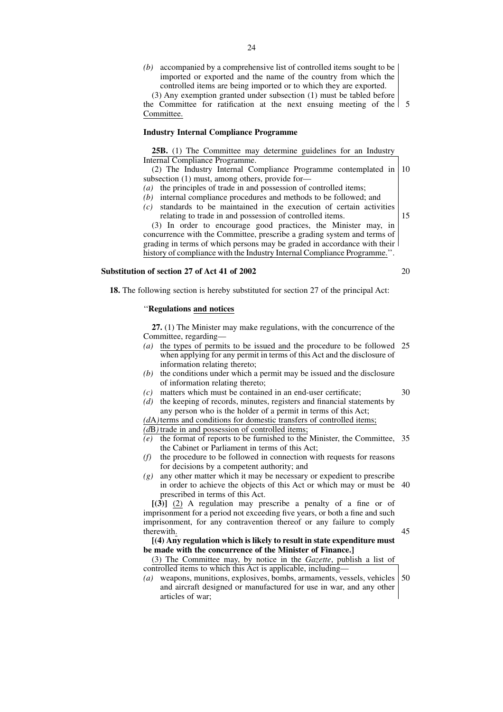*(b)* accompanied by a comprehensive list of controlled items sought to be imported or exported and the name of the country from which the controlled items are being imported or to which they are exported.

(3) Any exemption granted under subsection (1) must be tabled before the Committee for ratification at the next ensuing meeting of the 5 Committee.

#### **Industry Internal Compliance Programme**

**25B.** (1) The Committee may determine guidelines for an Industry Internal Compliance Programme.

(2) The Industry Internal Compliance Programme contemplated in subsection (1) must, among others, provide for— 10

- *(a)* the principles of trade in and possession of controlled items;
- *(b)* internal compliance procedures and methods to be followed; and *(c)* standards to be maintained in the execution of certain activities relating to trade in and possession of controlled items.

15

(3) In order to encourage good practices, the Minister may, in concurrence with the Committee, prescribe a grading system and terms of grading in terms of which persons may be graded in accordance with their history of compliance with the Industry Internal Compliance Programme.''.

## **Substitution of section 27 of Act 41 of 2002**

**18.** The following section is hereby substituted for section 27 of the principal Act:

#### ''**Regulations and notices**

**27.** (1) The Minister may make regulations, with the concurrence of the Committee, regarding—

- *(a)* the types of permits to be issued and the procedure to be followed 25 when applying for any permit in terms of this Act and the disclosure of information relating thereto;
- *(b)* the conditions under which a permit may be issued and the disclosure of information relating thereto;
- *(c)* matters which must be contained in an end-user certificate;
- *(d)* the keeping of records, minutes, registers and financial statements by any person who is the holder of a permit in terms of this Act;

*(d*A*)*terms and conditions for domestic transfers of controlled items;

*(d*B*)* trade in and possession of controlled items;

- *(e)* the format of reports to be furnished to the Minister, the Committee, 35 the Cabinet or Parliament in terms of this Act;
- *(f)* the procedure to be followed in connection with requests for reasons for decisions by a competent authority; and
- *(g)* any other matter which it may be necessary or expedient to prescribe in order to achieve the objects of this Act or which may or must be 40 prescribed in terms of this Act.

**[(3)]** (2) A regulation may prescribe a penalty of a fine or of imprisonment for a period not exceeding five years, or both a fine and such imprisonment, for any contravention thereof or any failure to comply therewith.

**[(4) Any regulation which is likely to result in state expenditure must be made with the concurrence of the Minister of Finance.]**

(3) The Committee may, by notice in the *Gazette*, publish a list of controlled items to which this Act is applicable, including—

*(a)* weapons, munitions, explosives, bombs, armaments, vessels, vehicles and aircraft designed or manufactured for use in war, and any other articles of war; 50

20

30